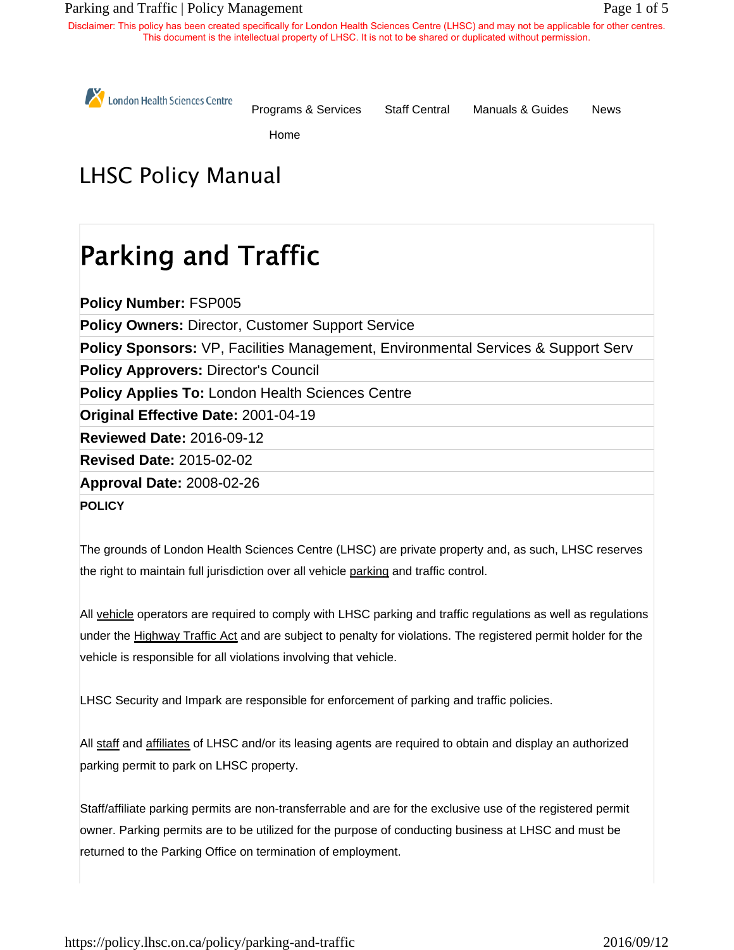#### Parking and Traffic | Policy Management Page 1 of 5

Disclaimer: This policy has been created specifically for London Health Sciences Centre (LHSC) and may not be applicable for other centres. This document is the intellectual property of LHSC. It is not to be shared or duplicated without permission.

London Health Sciences Centre

Programs & Services Staff Central Manuals & Guides News

Home

# LHSC Policy Manual

# Parking and Traffic

**Policy Number:** FSP005

**Policy Owners:** Director, Customer Support Service

**Policy Sponsors:** VP, Facilities Management, Environmental Services & Support Serv

**Policy Approvers:** Director's Council

**Policy Applies To: London Health Sciences Centre** 

**Original Effective Date:** 2001-04-19

**Reviewed Date:** 2016-09-12

**Revised Date:** 2015-02-02

**Approval Date:** 2008-02-26

**POLICY**

The grounds of London Health Sciences Centre (LHSC) are private property and, as such, LHSC reserves the right to maintain full jurisdiction over all vehicle parking and traffic control.

All vehicle operators are required to comply with LHSC parking and traffic regulations as well as regulations under the Highway Traffic Act and are subject to penalty for violations. The registered permit holder for the vehicle is responsible for all violations involving that vehicle.

LHSC Security and Impark are responsible for enforcement of parking and traffic policies.

All staff and affiliates of LHSC and/or its leasing agents are required to obtain and display an authorized parking permit to park on LHSC property.

Staff/affiliate parking permits are non-transferrable and are for the exclusive use of the registered permit owner. Parking permits are to be utilized for the purpose of conducting business at LHSC and must be returned to the Parking Office on termination of employment.

https://policy.lhsc.on.ca/policy/parking-and-traffic 2016/09/12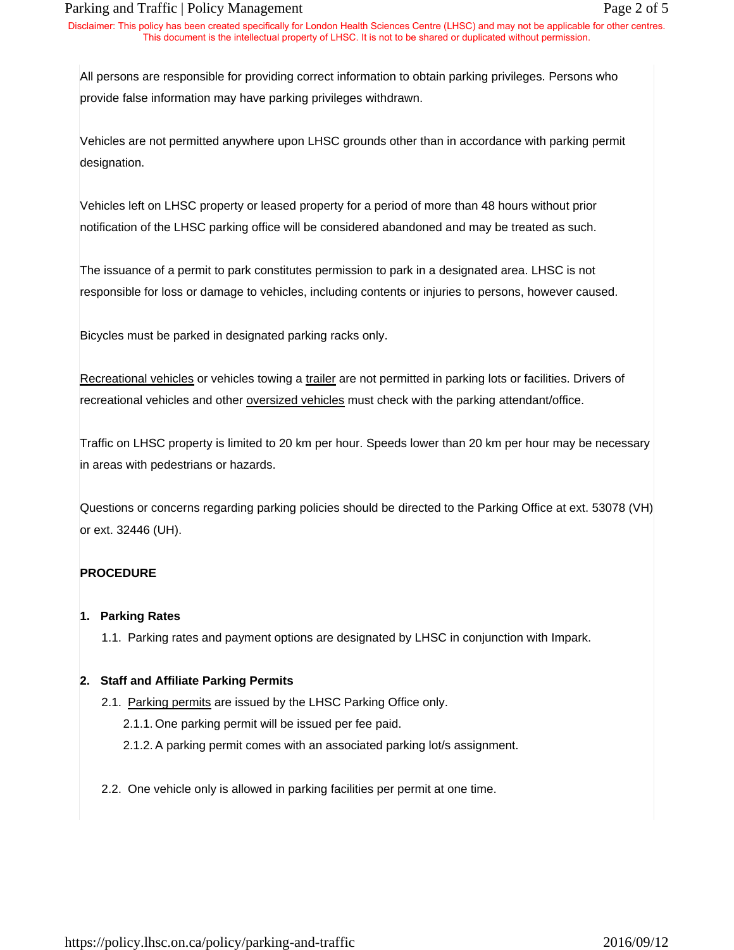#### Parking and Traffic | Policy Management Page 2 of 5

Disclaimer: This policy has been created specifically for London Health Sciences Centre (LHSC) and may not be applicable for other centres. This document is the intellectual property of LHSC. It is not to be shared or duplicated without permission.

All persons are responsible for providing correct information to obtain parking privileges. Persons who provide false information may have parking privileges withdrawn.

Vehicles are not permitted anywhere upon LHSC grounds other than in accordance with parking permit designation.

Vehicles left on LHSC property or leased property for a period of more than 48 hours without prior notification of the LHSC parking office will be considered abandoned and may be treated as such.

The issuance of a permit to park constitutes permission to park in a designated area. LHSC is not responsible for loss or damage to vehicles, including contents or injuries to persons, however caused.

Bicycles must be parked in designated parking racks only.

Recreational vehicles or vehicles towing a trailer are not permitted in parking lots or facilities. Drivers of recreational vehicles and other **oversized vehicles** must check with the parking attendant/office.

Traffic on LHSC property is limited to 20 km per hour. Speeds lower than 20 km per hour may be necessary in areas with pedestrians or hazards.

Questions or concerns regarding parking policies should be directed to the Parking Office at ext. 53078 (VH) or ext. 32446 (UH).

# **PROCEDURE**

#### **1. Parking Rates**

1.1. Parking rates and payment options are designated by LHSC in conjunction with Impark.

# **2. Staff and Affiliate Parking Permits**

- 2.1. Parking permits are issued by the LHSC Parking Office only.
	- 2.1.1. One parking permit will be issued per fee paid.
	- 2.1.2. A parking permit comes with an associated parking lot/s assignment.
- 2.2. One vehicle only is allowed in parking facilities per permit at one time.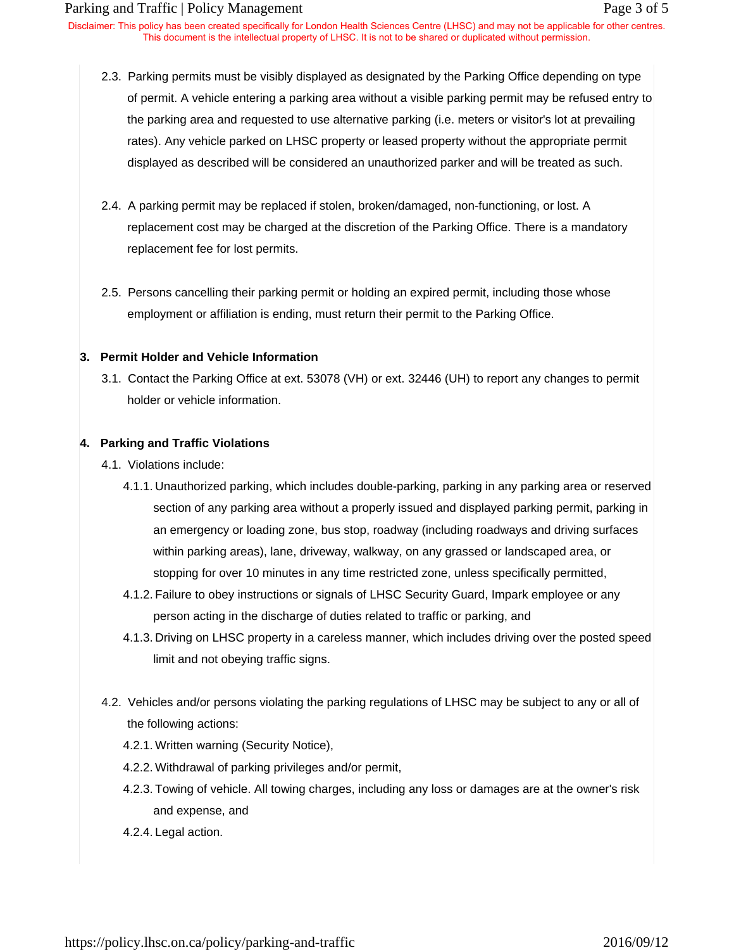Disclaimer: This policy has been created specifically for London Health Sciences Centre (LHSC) and may not be applicable for other centres. This document is the intellectual property of LHSC. It is not to be shared or duplicated without permission.

- 2.3. Parking permits must be visibly displayed as designated by the Parking Office depending on type of permit. A vehicle entering a parking area without a visible parking permit may be refused entry to the parking area and requested to use alternative parking (i.e. meters or visitor's lot at prevailing rates). Any vehicle parked on LHSC property or leased property without the appropriate permit displayed as described will be considered an unauthorized parker and will be treated as such.
- 2.4. A parking permit may be replaced if stolen, broken/damaged, non-functioning, or lost. A replacement cost may be charged at the discretion of the Parking Office. There is a mandatory replacement fee for lost permits.
- 2.5. Persons cancelling their parking permit or holding an expired permit, including those whose employment or affiliation is ending, must return their permit to the Parking Office.

#### **3. Permit Holder and Vehicle Information**

3.1. Contact the Parking Office at ext. 53078 (VH) or ext. 32446 (UH) to report any changes to permit holder or vehicle information.

#### **4. Parking and Traffic Violations**

- 4.1. Violations include:
	- 4.1.1. Unauthorized parking, which includes double-parking, parking in any parking area or reserved section of any parking area without a properly issued and displayed parking permit, parking in an emergency or loading zone, bus stop, roadway (including roadways and driving surfaces within parking areas), lane, driveway, walkway, on any grassed or landscaped area, or stopping for over 10 minutes in any time restricted zone, unless specifically permitted,
	- 4.1.2. Failure to obey instructions or signals of LHSC Security Guard, Impark employee or any person acting in the discharge of duties related to traffic or parking, and
	- 4.1.3. Driving on LHSC property in a careless manner, which includes driving over the posted speed limit and not obeying traffic signs.
- 4.2. Vehicles and/or persons violating the parking regulations of LHSC may be subject to any or all of the following actions:
	- 4.2.1. Written warning (Security Notice),
	- 4.2.2. Withdrawal of parking privileges and/or permit,
	- 4.2.3. Towing of vehicle. All towing charges, including any loss or damages are at the owner's risk and expense, and

# 4.2.4. Legal action.

https://policy.lhsc.on.ca/policy/parking-and-traffic 2016/09/12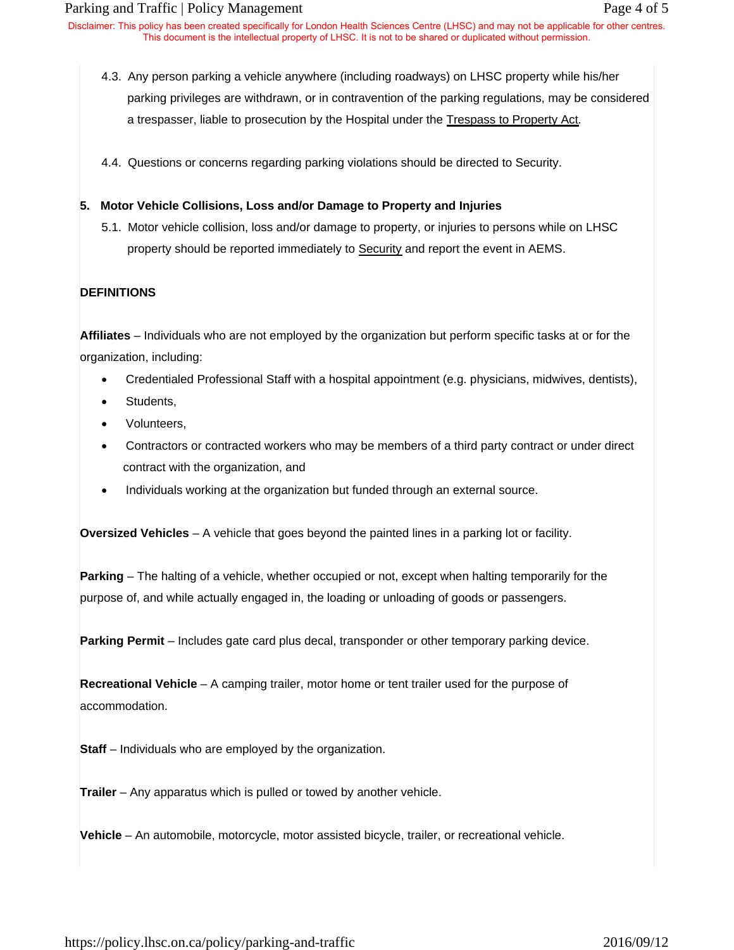Disclaimer: This policy has been created specifically for London Health Sciences Centre (LHSC) and may not be applicable for other centres. This document is the intellectual property of LHSC. It is not to be shared or duplicated without permission.

- 4.3. Any person parking a vehicle anywhere (including roadways) on LHSC property while his/her parking privileges are withdrawn, or in contravention of the parking regulations, may be considered a trespasser, liable to prosecution by the Hospital under the Trespass to Property Act.
- 4.4. Questions or concerns regarding parking violations should be directed to Security.

### **5. Motor Vehicle Collisions, Loss and/or Damage to Property and Injuries**

5.1. Motor vehicle collision, loss and/or damage to property, or injuries to persons while on LHSC property should be reported immediately to Security and report the event in AEMS.

# **DEFINITIONS**

**Affiliates** – Individuals who are not employed by the organization but perform specific tasks at or for the organization, including:

- Credentialed Professional Staff with a hospital appointment (e.g. physicians, midwives, dentists),
- Students,
- Volunteers,
- Contractors or contracted workers who may be members of a third party contract or under direct contract with the organization, and
- Individuals working at the organization but funded through an external source.

**Oversized Vehicles** – A vehicle that goes beyond the painted lines in a parking lot or facility.

**Parking** – The halting of a vehicle, whether occupied or not, except when halting temporarily for the purpose of, and while actually engaged in, the loading or unloading of goods or passengers.

**Parking Permit** – Includes gate card plus decal, transponder or other temporary parking device.

**Recreational Vehicle** – A camping trailer, motor home or tent trailer used for the purpose of accommodation.

**Staff** – Individuals who are employed by the organization.

**Trailer** – Any apparatus which is pulled or towed by another vehicle.

**Vehicle** – An automobile, motorcycle, motor assisted bicycle, trailer, or recreational vehicle.